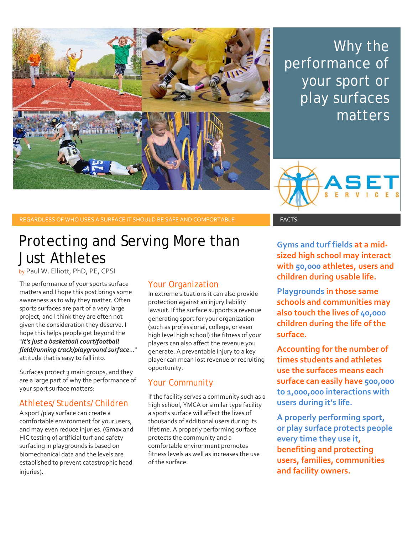

Why the performance of your sport or play surfaces matters



REGARDLESS OF WHO USES A SURFACE IT SHOULD BE SAFE AND COMFORTABLE FACTS FACTS

## Protecting and Serving More than Just Athletes

by Paul W. Elliott, PhD, PE, CPSI

The performance of your sports surface matters and I hope this post brings some awareness as to why they matter. Often sports surfaces are part of a very large project, and I think they are often not given the consideration they deserve. I hope this helps people get beyond the "*It's just a basketball court/football field/running track/playground surface*..." attitude that is easy to fall into.

Surfaces protect 3 main groups, and they are a large part of why the performance of your sport surface matters:

#### Athletes/Students/Children

A sport /play surface can create a comfortable environment for your users, and may even reduce injuries. (Gmax and HIC testing of artificial turf and safety surfacing in playgrounds is based on biomechanical data and the levels are established to prevent catastrophic head injuries).

### Your Organization

In extreme situations it can also provide protection against an injury liability lawsuit. If the surface supports a revenue generating sport for your organization (such as professional, college, or even high level high school) the fitness of your players can also affect the revenue you generate. A preventable injury to a key player can mean lost revenue or recruiting opportunity.

### Your Community

If the facility serves a community such as a high school, YMCA or similar type facility a sports surface will affect the lives of thousands of additional users during its lifetime. A properly performing surface protects the community and a comfortable environment promotes fitness levels as well as increases the use of the surface.

**Gyms and turf fields at a mid‐ sized high school may interact with 50,000 athletes, users and children during usable life.**

**Playgrounds in those same schools and communities may also touch the lives of 40,000 children during the life of the surface.**

**Accounting for the number of times students and athletes use the surfaces means each surface can easily have 500,000 to 1,000,000 interactions with users during it's life.** 

**A properly performing sport, or play surface protects people every time they use it, benefiting and protecting users, families, communities and facility owners.**